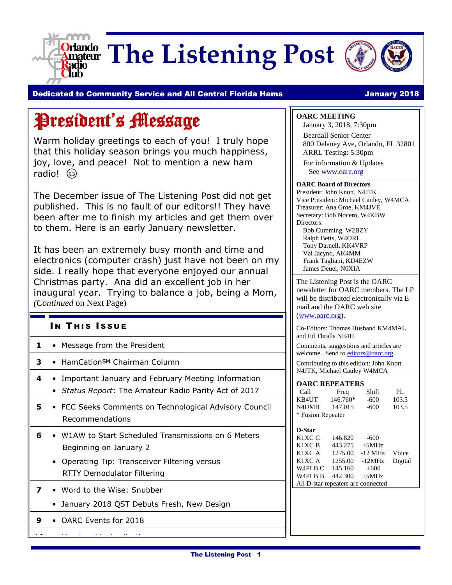

**Orlando** The Listening Post



#### Dedicated to Community Service and All Central Florida Hams January 2018

# President's Message

Warm holiday greetings to each of you! I truly hope that this holiday season brings you much happiness, joy, love, and peace! Not to mention a new ham radio! (හි

The December issue of The Listening Post did not get published. This is no fault of our editors!! They have been after me to finish my articles and get them over to them. Here is an early January newsletter.

It has been an extremely busy month and time and electronics (computer crash) just have not been on my side. I really hope that everyone enjoyed our annual Christmas party. Ana did an excellent job in her inaugural year. Trying to balance a job, being a Mom, *(Continued* on Next Page)

#### IN THIS ISSUE

- **1** Message from the President
- **3** HamCation<sup>SM</sup> Chairman Column
- **4** Important January and February Meeting Information
	- *Status Report*: The Amateur Radio Parity Act of 2017
- **5** FCC Seeks Comments on Technological Advisory Council Recommendations
- **6** W1AW to Start Scheduled Transmissions on 6 Meters Beginning on January 2
	- Operating Tip: Transceiver Filtering versus RTTY Demodulator Filtering
- **7** Word to the Wise: Snubber
	- January 2018 QST Debuts Fresh, New Design
- **9** OARC Events for 2018

**10** • Membership Application Application

#### **OARC MEETING**

January 3, 2018, 7:30pm Beardall Senior Center 800 Delaney Ave, Orlando, FL 32801 ARRL Testing: 5:30pm For information & Updates See [www.oarc.org](http://www.oarc.org/)

#### **OARC Board of Directors**

President: John Knott, N4JTK Vice President: Michael Cauley, W4MCA Treasurer: Ana Groe, KM4JVE Secretary: Bob Nocero, W4KBW Directors:

Bob Cumming, W2BZY Ralph Betts, W4ORL Tony Darnell, KK4VRP Val Jacyno, AK4MM Frank Tagliani, KD4EZW James Deuel, N0XIA

The Listening Post is the OARC newsletter for OARC members. The LP will be distributed electronically via Email and the OARC web site [\(www.oarc.org\)](http://www.oarc.org/).

Co-Editors: Thomas Husband KM4MAL and Ed Thralls NE4H.

Comments, suggestions and articles are welcome. Send t[o editors@oarc.org.](mailto:editors@oarc.org)

Contributing to this edition: John Knott N4JTK, Michael Cauley W4MCA

| <b>OARC REPEATERS</b> |          |        |       |  |  |
|-----------------------|----------|--------|-------|--|--|
| Call                  | Freq     | Shift  | PL.   |  |  |
| KB4UT                 | 146.760* | $-600$ | 103.5 |  |  |
| N4UMB                 | 147.015  | $-600$ | 103.5 |  |  |
| * Fusion Repeater     |          |        |       |  |  |

#### **D-Star**

| K1XC C                             | 146.820         | $-600$    |         |  |
|------------------------------------|-----------------|-----------|---------|--|
| K1XC B                             | 443.275         | $+5MHz$   |         |  |
| K1XC A                             | 1275.00         | $-12$ MHz | Voice   |  |
| K1XC A                             | 1255.00         | -12MHz    | Digital |  |
| W4PLB C                            | 145.160         | $+600$    |         |  |
| W <sub>4</sub> PL <sub>B</sub> B   | $442.300 +5MHz$ |           |         |  |
| All D-star repeaters are connected |                 |           |         |  |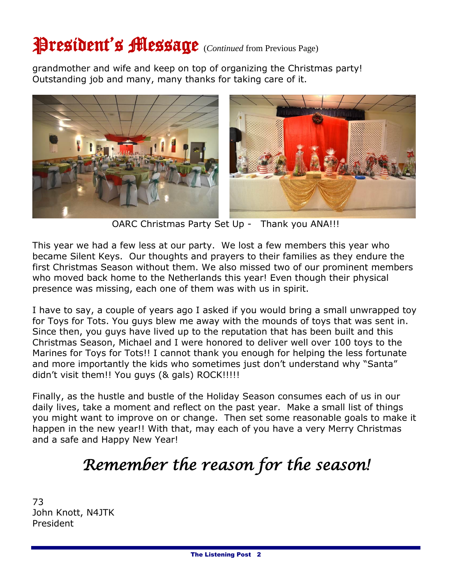# President's Message (*Continued* from Previous Page)

grandmother and wife and keep on top of organizing the Christmas party! Outstanding job and many, many thanks for taking care of it.



OARC Christmas Party Set Up - Thank you ANA!!!

This year we had a few less at our party. We lost a few members this year who became Silent Keys. Our thoughts and prayers to their families as they endure the first Christmas Season without them. We also missed two of our prominent members who moved back home to the Netherlands this year! Even though their physical presence was missing, each one of them was with us in spirit.

I have to say, a couple of years ago I asked if you would bring a small unwrapped toy for Toys for Tots. You guys blew me away with the mounds of toys that was sent in. Since then, you guys have lived up to the reputation that has been built and this Christmas Season, Michael and I were honored to deliver well over 100 toys to the Marines for Toys for Tots!! I cannot thank you enough for helping the less fortunate and more importantly the kids who sometimes just don't understand why "Santa" didn't visit them!! You guys (& gals) ROCK!!!!!!

Finally, as the hustle and bustle of the Holiday Season consumes each of us in our daily lives, take a moment and reflect on the past year. Make a small list of things you might want to improve on or change. Then set some reasonable goals to make it happen in the new year!! With that, may each of you have a very Merry Christmas and a safe and Happy New Year!

# *Remember the reason for the season!*

73 John Knott, N4JTK President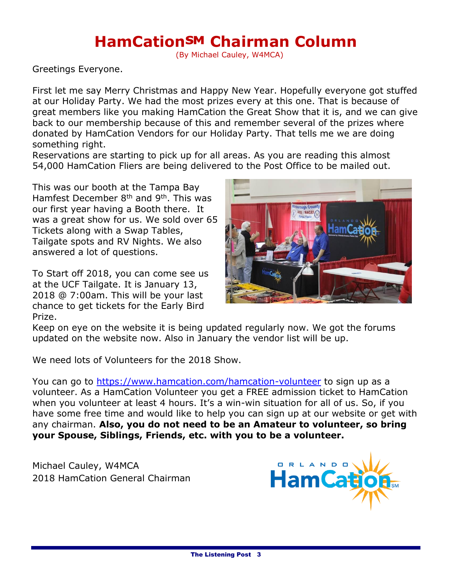### **HamCation℠ Chairman Column**

(By Michael Cauley, W4MCA)

Greetings Everyone.

First let me say Merry Christmas and Happy New Year. Hopefully everyone got stuffed at our Holiday Party. We had the most prizes every at this one. That is because of great members like you making HamCation the Great Show that it is, and we can give back to our membership because of this and remember several of the prizes where donated by HamCation Vendors for our Holiday Party. That tells me we are doing something right.

Reservations are starting to pick up for all areas. As you are reading this almost 54,000 HamCation Fliers are being delivered to the Post Office to be mailed out.

This was our booth at the Tampa Bay Hamfest December 8<sup>th</sup> and 9<sup>th</sup>. This was our first year having a Booth there. It was a great show for us. We sold over 65 Tickets along with a Swap Tables, Tailgate spots and RV Nights. We also answered a lot of questions.

To Start off 2018, you can come see us at the UCF Tailgate. It is January 13, 2018 @ 7:00am. This will be your last chance to get tickets for the Early Bird Prize.



Keep on eye on the website it is being updated regularly now. We got the forums updated on the website now. Also in January the vendor list will be up.

We need lots of Volunteers for the 2018 Show.

You can go to<https://www.hamcation.com/hamcation-volunteer> to sign up as a volunteer. As a HamCation Volunteer you get a FREE admission ticket to HamCation when you volunteer at least 4 hours. It's a win-win situation for all of us. So, if you have some free time and would like to help you can sign up at our website or get with any chairman. **Also, you do not need to be an Amateur to volunteer, so bring your Spouse, Siblings, Friends, etc. with you to be a volunteer.**

Michael Cauley, W4MCA 2018 HamCation General Chairman

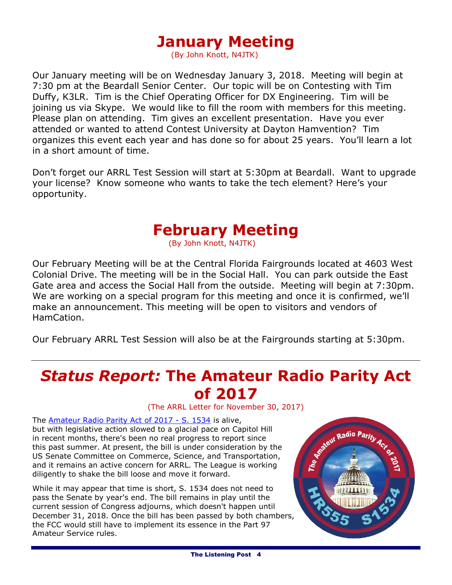#### **January Meeting**

(By John Knott, N4JTK)

Our January meeting will be on Wednesday January 3, 2018. Meeting will begin at 7:30 pm at the Beardall Senior Center. Our topic will be on Contesting with Tim Duffy, K3LR. Tim is the Chief Operating Officer for DX Engineering. Tim will be joining us via Skype. We would like to fill the room with members for this meeting. Please plan on attending. Tim gives an excellent presentation. Have you ever attended or wanted to attend Contest University at Dayton Hamvention? Tim organizes this event each year and has done so for about 25 years. You'll learn a lot in a short amount of time.

Don't forget our ARRL Test Session will start at 5:30pm at Beardall. Want to upgrade your license? Know someone who wants to take the tech element? Here's your opportunity.

### **February Meeting**

(By John Knott, N4JTK)

Our February Meeting will be at the Central Florida Fairgrounds located at 4603 West Colonial Drive. The meeting will be in the Social Hall. You can park outside the East Gate area and access the Social Hall from the outside. Meeting will begin at 7:30pm. We are working on a special program for this meeting and once it is confirmed, we'll make an announcement. This meeting will be open to visitors and vendors of HamCation.

Our February ARRL Test Session will also be at the Fairgrounds starting at 5:30pm.

#### *Status Report:* **The Amateur Radio Parity Act of 2017**

(The ARRL Letter for November 30, 2017)

The **Amateur Radio Parity Act of 2017 - S. 1534** is alive, but with legislative action slowed to a glacial pace on Capitol Hill in recent months, there's been no real progress to report since this past summer. At present, the bill is under consideration by the US Senate Committee on Commerce, Science, and Transportation, and it remains an active concern for ARRL. The League is working diligently to shake the bill loose and move it forward.

While it may appear that time is short, S. 1534 does not need to pass the Senate by year's end. The bill remains in play until the current session of Congress adjourns, which doesn't happen until December 31, 2018. Once the bill has been passed by both chambers, the FCC would still have to implement its essence in the Part 97 Amateur Service rules.

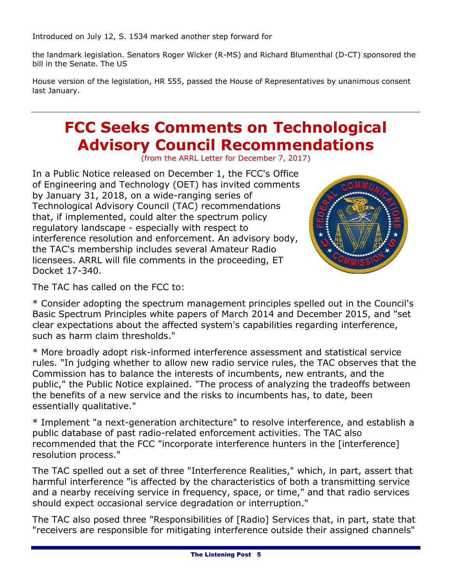Introduced on July 12, S. 1534 marked another step forward for

the landmark legislation. Senators Roger Wicker (R-MS) and Richard Blumenthal (D-CT) sponsored the bill in the Senate. The US

House version of the legislation, HR 555, passed the House of Representatives by unanimous consent last January.

### **FCC Seeks Comments on Technological Advisory Council Recommendations**

(from the ARRL Letter for December 7, 2017)

In a Public Notice released on December 1, the FCC's Office of Engineering and Technology (OET) has invited comments by January 31, 2018, on a wide-ranging series of Technological Advisory Council (TAC) recommendations that, if implemented, could alter the spectrum policy regulatory landscape - especially with respect to interference resolution and enforcement. An advisory body, the TAC's membership includes several Amateur Radio licensees. ARRL will file comments in the proceeding, ET Docket 17-340.



The TAC has called on the FCC to:

\* Consider adopting the spectrum management principles spelled out in the Council's Basic Spectrum Principles white papers of March 2014 and December 2015, and "set clear expectations about the affected system's capabilities regarding interference, such as harm claim thresholds."

\* More broadly adopt risk-informed interference assessment and statistical service rules. "In judging whether to allow new radio service rules, the TAC observes that the Commission has to balance the interests of incumbents, new entrants, and the public," the Public Notice explained. "The process of analyzing the tradeoffs between the benefits of a new service and the risks to incumbents has, to date, been essentially qualitative."

\* Implement "a next-generation architecture" to resolve interference, and establish a public database of past radio-related enforcement activities. The TAC also recommended that the FCC "incorporate interference hunters in the [interference] resolution process."

The TAC spelled out a set of three "Interference Realities," which, in part, assert that harmful interference "is affected by the characteristics of both a transmitting service and a nearby receiving service in frequency, space, or time," and that radio services should expect occasional service degradation or interruption."

The TAC also posed three "Responsibilities of [Radio] Services that, in part, state that "receivers are responsible for mitigating interference outside their assigned channels"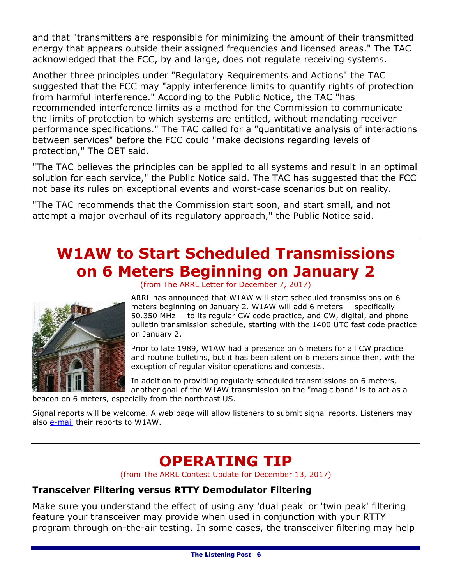and that "transmitters are responsible for minimizing the amount of their transmitted energy that appears outside their assigned frequencies and licensed areas." The TAC acknowledged that the FCC, by and large, does not regulate receiving systems.

Another three principles under "Regulatory Requirements and Actions" the TAC suggested that the FCC may "apply interference limits to quantify rights of protection from harmful interference." According to the Public Notice, the TAC "has recommended interference limits as a method for the Commission to communicate the limits of protection to which systems are entitled, without mandating receiver performance specifications." The TAC called for a "quantitative analysis of interactions between services" before the FCC could "make decisions regarding levels of protection," The OET said.

"The TAC believes the principles can be applied to all systems and result in an optimal solution for each service," the Public Notice said. The TAC has suggested that the FCC not base its rules on exceptional events and worst-case scenarios but on reality.

"The TAC recommends that the Commission start soon, and start small, and not attempt a major overhaul of its regulatory approach," the Public Notice said.

### **W1AW to Start Scheduled Transmissions on 6 Meters Beginning on January 2**

(from The ARRL Letter for December 7, 2017)



ARRL has announced that W1AW will start scheduled transmissions on 6 meters beginning on January 2. W1AW will add 6 meters -- specifically 50.350 MHz -- to its regular CW code practice, and CW, digital, and phone bulletin transmission schedule, starting with the 1400 UTC fast code practice on January 2.

Prior to late 1989, W1AW had a presence on 6 meters for all CW practice and routine bulletins, but it has been silent on 6 meters since then, with the exception of regular visitor operations and contests.

In addition to providing regularly scheduled transmissions on 6 meters, another goal of the W1AW transmission on the "magic band" is to act as a

on 6 meters, especially from the northeast US.

Signal reports will be welcome. A web page will allow listeners to submit signal reports. Listeners may also [e-mail](mailto:w1aw@arrl.org) their reports to W1AW.

### **OPERATING TIP**

(from The ARRL Contest Update for December 13, 2017)

#### **Transceiver Filtering versus RTTY Demodulator Filtering**

Make sure you understand the effect of using any 'dual peak' or 'twin peak' filtering feature your transceiver may provide when used in conjunction with your RTTY program through on-the-air testing. In some cases, the transceiver filtering may help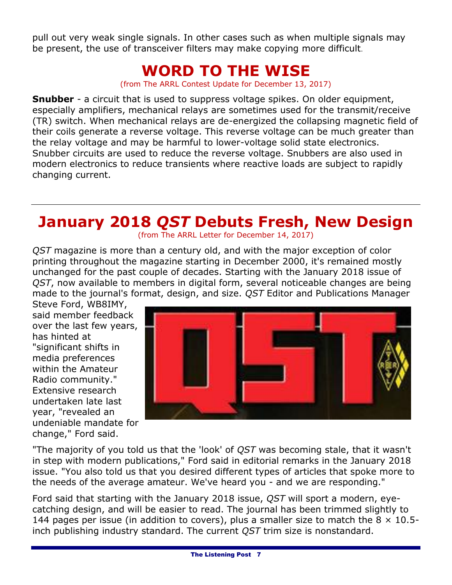pull out very weak single signals. In other cases such as when multiple signals may be present, the use of transceiver filters may make copying more difficult.

#### **WORD TO THE WISE**

(from The ARRL Contest Update for December 13, 2017)

**Snubber** - a circuit that is used to suppress voltage spikes. On older equipment, especially amplifiers, mechanical relays are sometimes used for the transmit/receive (TR) switch. When mechanical relays are de-energized the collapsing magnetic field of their coils generate a reverse voltage. This reverse voltage can be much greater than the relay voltage and may be harmful to lower-voltage solid state electronics. Snubber circuits are used to reduce the reverse voltage. Snubbers are also used in modern electronics to reduce transients where reactive loads are subject to rapidly changing current.

### **January 2018** *QST* **Debuts Fresh, New Design**

(from The ARRL Letter for December 14, 2017)

*QST* magazine is more than a century old, and with the major exception of color printing throughout the magazine starting in December 2000, it's remained mostly unchanged for the past couple of decades. Starting with the January 2018 issue of *QST*, now available to members in digital form, several noticeable changes are being made to the journal's format, design, and size. *QST* Editor and Publications Manager

Steve Ford, WB8IMY, said member feedback over the last few years, has hinted at "significant shifts in media preferences within the Amateur Radio community." Extensive research undertaken late last year, "revealed an undeniable mandate for change," Ford said.



"The majority of you told us that the 'look' of *QST* was becoming stale, that it wasn't in step with modern publications," Ford said in editorial remarks in the January 2018 issue. "You also told us that you desired different types of articles that spoke more to the needs of the average amateur. We've heard you - and we are responding."

Ford said that starting with the January 2018 issue, *QST* will sport a modern, eyecatching design, and will be easier to read. The journal has been trimmed slightly to 144 pages per issue (in addition to covers), plus a smaller size to match the  $8 \times 10.5$ inch publishing industry standard. The current *QST* trim size is nonstandard.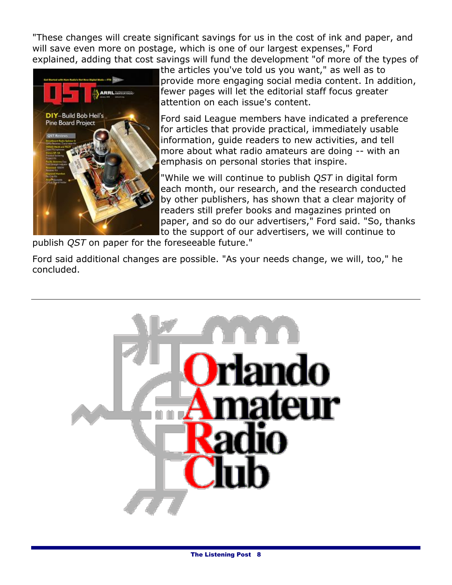"These changes will create significant savings for us in the cost of ink and paper, and will save even more on postage, which is one of our largest expenses," Ford explained, adding that cost savings will fund the development "of more of the types of



the articles you've told us you want," as well as to provide more engaging social media content. In addition, fewer pages will let the editorial staff focus greater attention on each issue's content.

Ford said League members have indicated a preference for articles that provide practical, immediately usable information, guide readers to new activities, and tell more about what radio amateurs are doing -- with an emphasis on personal stories that inspire.

"While we will continue to publish *QST* in digital form each month, our research, and the research conducted by other publishers, has shown that a clear majority of readers still prefer books and magazines printed on paper, and so do our advertisers," Ford said. "So, thanks to the support of our advertisers, we will continue to

publish *QST* on paper for the foreseeable future."

Ford said additional changes are possible. "As your needs change, we will, too," he concluded.

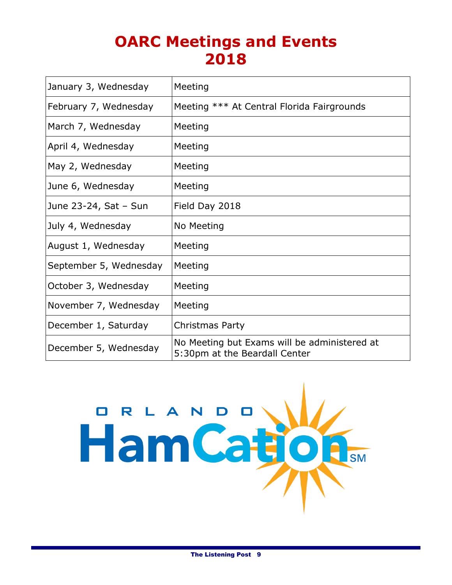### **OARC Meetings and Events 2018**

| January 3, Wednesday   | Meeting                                                                       |  |  |
|------------------------|-------------------------------------------------------------------------------|--|--|
| February 7, Wednesday  | Meeting *** At Central Florida Fairgrounds                                    |  |  |
| March 7, Wednesday     | Meeting                                                                       |  |  |
| April 4, Wednesday     | Meeting                                                                       |  |  |
| May 2, Wednesday       | Meeting                                                                       |  |  |
| June 6, Wednesday      | Meeting                                                                       |  |  |
| June 23-24, Sat - Sun  | Field Day 2018                                                                |  |  |
| July 4, Wednesday      | No Meeting                                                                    |  |  |
| August 1, Wednesday    | Meeting                                                                       |  |  |
| September 5, Wednesday | Meeting                                                                       |  |  |
| October 3, Wednesday   | Meeting                                                                       |  |  |
| November 7, Wednesday  | Meeting                                                                       |  |  |
| December 1, Saturday   | Christmas Party                                                               |  |  |
| December 5, Wednesday  | No Meeting but Exams will be administered at<br>5:30pm at the Beardall Center |  |  |